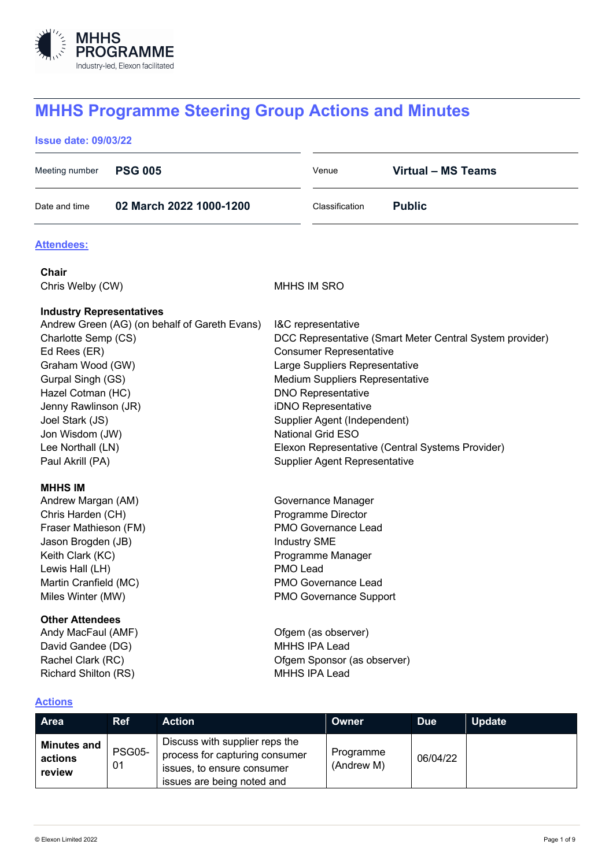

# **MHHS Programme Steering Group Actions and Minutes**

## **Issue date: 09/03/22**

| <b>PSG 005</b><br>Meeting number                                                                                                                                                                                                                                         |                     |                                                                                                    | Venue                                                                                                                                                                                                                                                                                                                                                                                      | <b>Virtual - MS Teams</b>                                                                                              |               |               |  |
|--------------------------------------------------------------------------------------------------------------------------------------------------------------------------------------------------------------------------------------------------------------------------|---------------------|----------------------------------------------------------------------------------------------------|--------------------------------------------------------------------------------------------------------------------------------------------------------------------------------------------------------------------------------------------------------------------------------------------------------------------------------------------------------------------------------------------|------------------------------------------------------------------------------------------------------------------------|---------------|---------------|--|
| Date and time                                                                                                                                                                                                                                                            |                     | 02 March 2022 1000-1200                                                                            |                                                                                                                                                                                                                                                                                                                                                                                            | Classification                                                                                                         | <b>Public</b> |               |  |
| <b>Attendees:</b>                                                                                                                                                                                                                                                        |                     |                                                                                                    |                                                                                                                                                                                                                                                                                                                                                                                            |                                                                                                                        |               |               |  |
| <b>Chair</b>                                                                                                                                                                                                                                                             |                     |                                                                                                    |                                                                                                                                                                                                                                                                                                                                                                                            |                                                                                                                        |               |               |  |
| Chris Welby (CW)                                                                                                                                                                                                                                                         |                     |                                                                                                    | <b>MHHS IM SRO</b>                                                                                                                                                                                                                                                                                                                                                                         |                                                                                                                        |               |               |  |
| <b>Industry Representatives</b><br>Andrew Green (AG) (on behalf of Gareth Evans)<br>Charlotte Semp (CS)<br>Ed Rees (ER)<br>Graham Wood (GW)<br>Gurpal Singh (GS)<br>Hazel Cotman (HC)<br>Jenny Rawlinson (JR)<br>Joel Stark (JS)<br>Jon Wisdom (JW)<br>Lee Northall (LN) |                     |                                                                                                    | I&C representative<br>DCC Representative (Smart Meter Central System provider)<br><b>Consumer Representative</b><br>Large Suppliers Representative<br>Medium Suppliers Representative<br><b>DNO Representative</b><br>iDNO Representative<br>Supplier Agent (Independent)<br><b>National Grid ESO</b><br>Elexon Representative (Central Systems Provider)<br>Supplier Agent Representative |                                                                                                                        |               |               |  |
| <b>MHHS IM</b><br>Andrew Margan (AM)<br>Chris Harden (CH)<br>Fraser Mathieson (FM)<br>Jason Brogden (JB)<br>Keith Clark (KC)<br>Lewis Hall (LH)<br>Martin Cranfield (MC)<br>Miles Winter (MW)<br><b>Other Attendees</b>                                                  |                     |                                                                                                    | Programme Director<br><b>Industry SME</b><br>PMO Lead                                                                                                                                                                                                                                                                                                                                      | Governance Manager<br>PMO Governance Lead<br>Programme Manager<br>PMO Governance Lead<br><b>PMO Governance Support</b> |               |               |  |
| Andy MacFaul (AMF)<br>David Gandee (DG)<br>Rachel Clark (RC)<br>Richard Shilton (RS)                                                                                                                                                                                     |                     | Ofgem (as observer)<br><b>MHHS IPA Lead</b><br>Ofgem Sponsor (as observer)<br><b>MHHS IPA Lead</b> |                                                                                                                                                                                                                                                                                                                                                                                            |                                                                                                                        |               |               |  |
| <b>Actions</b>                                                                                                                                                                                                                                                           |                     |                                                                                                    |                                                                                                                                                                                                                                                                                                                                                                                            |                                                                                                                        |               |               |  |
| <b>Area</b>                                                                                                                                                                                                                                                              | <b>Ref</b>          | <b>Action</b>                                                                                      |                                                                                                                                                                                                                                                                                                                                                                                            | <b>Owner</b>                                                                                                           | <b>Due</b>    | <b>Update</b> |  |
| <b>Minutes and</b><br>actions                                                                                                                                                                                                                                            | <b>PSG05-</b><br>01 | Discuss with supplier reps the<br>process for capturing consumer<br>issues to ensure consumer      |                                                                                                                                                                                                                                                                                                                                                                                            | Programme<br>(Andrew M)                                                                                                | 06/04/22      |               |  |

**actions review**

issues, to ensure consumer issues are being noted and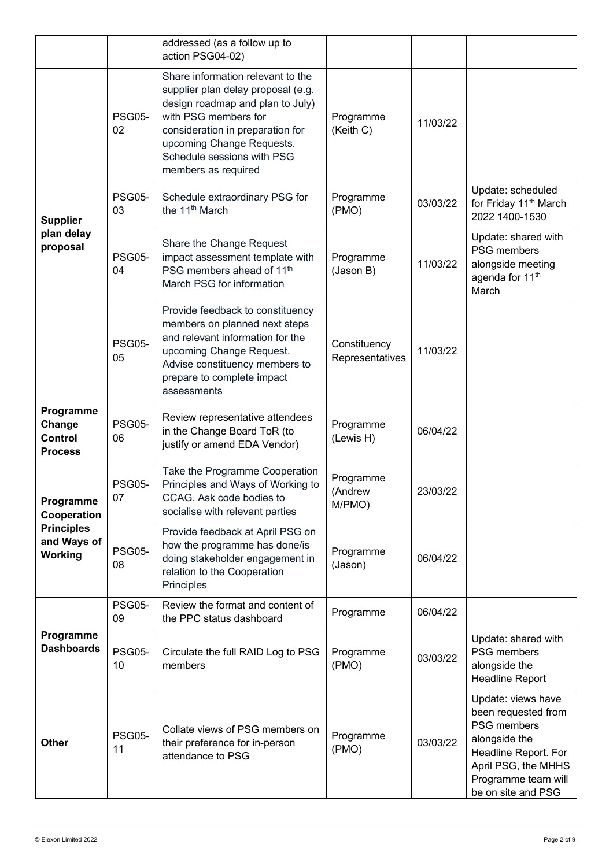|                                                                         |                     | addressed (as a follow up to<br>action PSG04-02)                                                                                                                                                                                                          |                                 |          |                                                                                                                                                                       |
|-------------------------------------------------------------------------|---------------------|-----------------------------------------------------------------------------------------------------------------------------------------------------------------------------------------------------------------------------------------------------------|---------------------------------|----------|-----------------------------------------------------------------------------------------------------------------------------------------------------------------------|
| <b>Supplier</b><br>plan delay<br>proposal                               | <b>PSG05-</b><br>02 | Share information relevant to the<br>supplier plan delay proposal (e.g.<br>design roadmap and plan to July)<br>with PSG members for<br>consideration in preparation for<br>upcoming Change Requests.<br>Schedule sessions with PSG<br>members as required | Programme<br>(Keith C)          | 11/03/22 |                                                                                                                                                                       |
|                                                                         | <b>PSG05-</b><br>03 | Schedule extraordinary PSG for<br>the 11 <sup>th</sup> March                                                                                                                                                                                              | Programme<br>(PMO)              | 03/03/22 | Update: scheduled<br>for Friday 11 <sup>th</sup> March<br>2022 1400-1530                                                                                              |
|                                                                         | <b>PSG05-</b><br>04 | Share the Change Request<br>impact assessment template with<br>PSG members ahead of 11 <sup>th</sup><br>March PSG for information                                                                                                                         | Programme<br>(Jason B)          | 11/03/22 | Update: shared with<br>PSG members<br>alongside meeting<br>agenda for 11 <sup>th</sup><br>March                                                                       |
|                                                                         | <b>PSG05-</b><br>05 | Provide feedback to constituency<br>members on planned next steps<br>and relevant information for the<br>upcoming Change Request.<br>Advise constituency members to<br>prepare to complete impact<br>assessments                                          | Constituency<br>Representatives | 11/03/22 |                                                                                                                                                                       |
| Programme<br>Change<br><b>Control</b><br><b>Process</b>                 | <b>PSG05-</b><br>06 | Review representative attendees<br>in the Change Board ToR (to<br>justify or amend EDA Vendor)                                                                                                                                                            | Programme<br>(Lewis H)          | 06/04/22 |                                                                                                                                                                       |
| Programme<br>Cooperation<br><b>Principles</b><br>and Ways of<br>Working | <b>PSG05-</b><br>07 | Take the Programme Cooperation<br>Principles and Ways of Working to<br>CCAG. Ask code bodies to<br>socialise with relevant parties                                                                                                                        | Programme<br>(Andrew<br>M/PMO)  | 23/03/22 |                                                                                                                                                                       |
|                                                                         | <b>PSG05-</b><br>08 | Provide feedback at April PSG on<br>how the programme has done/is<br>doing stakeholder engagement in<br>relation to the Cooperation<br>Principles                                                                                                         | Programme<br>(Jason)            | 06/04/22 |                                                                                                                                                                       |
| Programme<br><b>Dashboards</b>                                          | <b>PSG05-</b><br>09 | Review the format and content of<br>the PPC status dashboard                                                                                                                                                                                              | Programme                       | 06/04/22 |                                                                                                                                                                       |
|                                                                         | <b>PSG05-</b><br>10 | Circulate the full RAID Log to PSG<br>members                                                                                                                                                                                                             | Programme<br>(PMO)              | 03/03/22 | Update: shared with<br>PSG members<br>alongside the<br>Headline Report                                                                                                |
| <b>Other</b>                                                            | <b>PSG05-</b><br>11 | Collate views of PSG members on<br>their preference for in-person<br>attendance to PSG                                                                                                                                                                    | Programme<br>(PMO)              | 03/03/22 | Update: views have<br>been requested from<br>PSG members<br>alongside the<br>Headline Report. For<br>April PSG, the MHHS<br>Programme team will<br>be on site and PSG |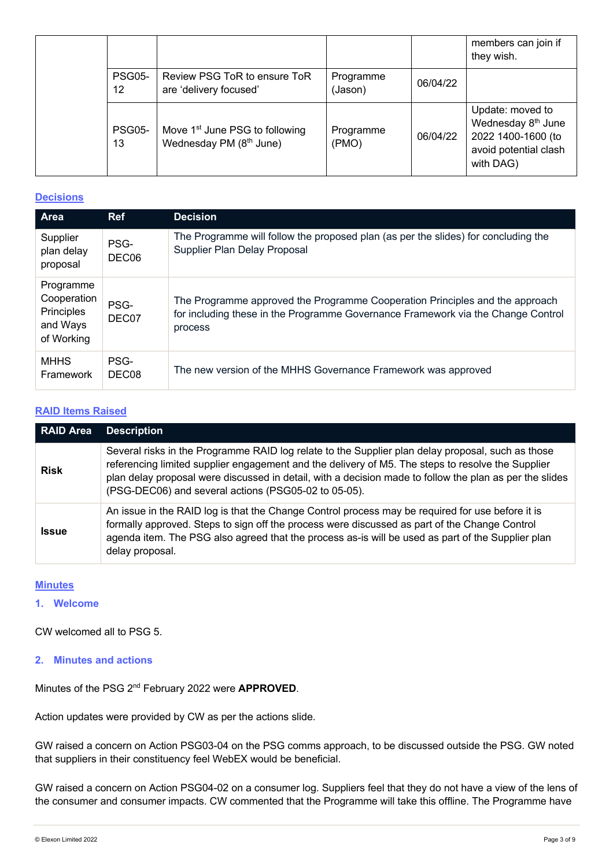|                                    |                                                                       |                      |          | members can join if<br>they wish.                                                                              |
|------------------------------------|-----------------------------------------------------------------------|----------------------|----------|----------------------------------------------------------------------------------------------------------------|
| <b>PSG05-</b><br>$12 \overline{ }$ | Review PSG ToR to ensure ToR<br>are 'delivery focused'                | Programme<br>(Jason) | 06/04/22 |                                                                                                                |
| <b>PSG05-</b><br>13                | Move 1 <sup>st</sup> June PSG to following<br>Wednesday PM (8th June) | Programme<br>(PMO)   | 06/04/22 | Update: moved to<br>Wednesday 8 <sup>th</sup> June<br>2022 1400-1600 (to<br>avoid potential clash<br>with DAG) |

## **Decisions**

| <b>Area</b>                                                      | <b>Ref</b>                | <b>Decision</b>                                                                                                                                                             |
|------------------------------------------------------------------|---------------------------|-----------------------------------------------------------------------------------------------------------------------------------------------------------------------------|
| Supplier<br>plan delay<br>proposal                               | PSG-<br>DEC06             | The Programme will follow the proposed plan (as per the slides) for concluding the<br>Supplier Plan Delay Proposal                                                          |
| Programme<br>Cooperation<br>Principles<br>and Ways<br>of Working | PSG-<br>DEC07             | The Programme approved the Programme Cooperation Principles and the approach<br>for including these in the Programme Governance Framework via the Change Control<br>process |
| <b>MHHS</b><br>Framework                                         | PSG-<br>DEC <sub>08</sub> | The new version of the MHHS Governance Framework was approved                                                                                                               |

## **RAID Items Raised**

| <b>RAID Area</b> | <b>Description</b>                                                                                                                                                                                                                                                                                                                                                        |  |  |
|------------------|---------------------------------------------------------------------------------------------------------------------------------------------------------------------------------------------------------------------------------------------------------------------------------------------------------------------------------------------------------------------------|--|--|
| <b>Risk</b>      | Several risks in the Programme RAID log relate to the Supplier plan delay proposal, such as those<br>referencing limited supplier engagement and the delivery of M5. The steps to resolve the Supplier<br>plan delay proposal were discussed in detail, with a decision made to follow the plan as per the slides<br>(PSG-DEC06) and several actions (PSG05-02 to 05-05). |  |  |
| <b>Issue</b>     | An issue in the RAID log is that the Change Control process may be required for use before it is<br>formally approved. Steps to sign off the process were discussed as part of the Change Control<br>agenda item. The PSG also agreed that the process as-is will be used as part of the Supplier plan<br>delay proposal.                                                 |  |  |

# **Minutes**

## **1. Welcome**

CW welcomed all to PSG 5.

**2. Minutes and actions**

Minutes of the PSG 2nd February 2022 were **APPROVED**.

Action updates were provided by CW as per the actions slide.

GW raised a concern on Action PSG03-04 on the PSG comms approach, to be discussed outside the PSG. GW noted that suppliers in their constituency feel WebEX would be beneficial.

GW raised a concern on Action PSG04-02 on a consumer log. Suppliers feel that they do not have a view of the lens of the consumer and consumer impacts. CW commented that the Programme will take this offline. The Programme have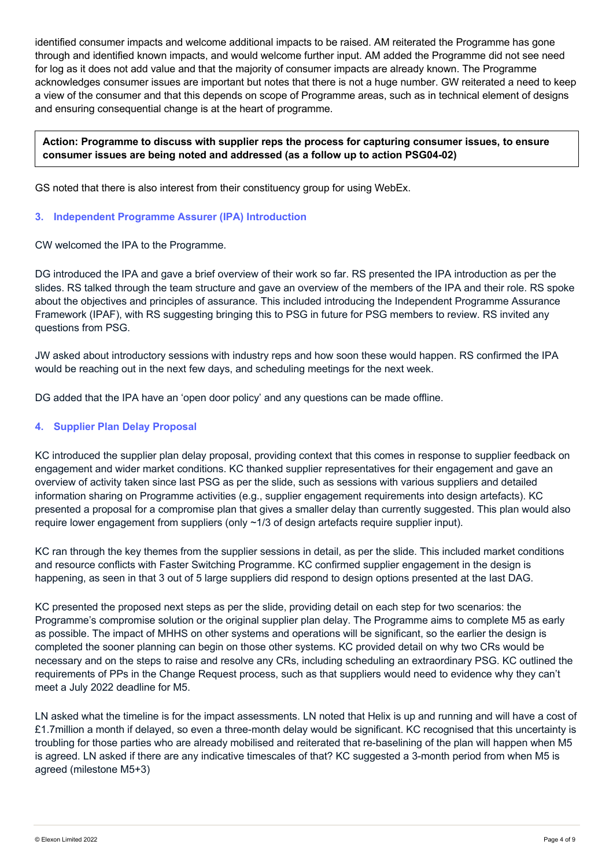identified consumer impacts and welcome additional impacts to be raised. AM reiterated the Programme has gone through and identified known impacts, and would welcome further input. AM added the Programme did not see need for log as it does not add value and that the majority of consumer impacts are already known. The Programme acknowledges consumer issues are important but notes that there is not a huge number. GW reiterated a need to keep a view of the consumer and that this depends on scope of Programme areas, such as in technical element of designs and ensuring consequential change is at the heart of programme.

## **Action: Programme to discuss with supplier reps the process for capturing consumer issues, to ensure consumer issues are being noted and addressed (as a follow up to action PSG04-02)**

GS noted that there is also interest from their constituency group for using WebEx.

#### **3. Independent Programme Assurer (IPA) Introduction**

CW welcomed the IPA to the Programme.

DG introduced the IPA and gave a brief overview of their work so far. RS presented the IPA introduction as per the slides. RS talked through the team structure and gave an overview of the members of the IPA and their role. RS spoke about the objectives and principles of assurance. This included introducing the Independent Programme Assurance Framework (IPAF), with RS suggesting bringing this to PSG in future for PSG members to review. RS invited any questions from PSG.

JW asked about introductory sessions with industry reps and how soon these would happen. RS confirmed the IPA would be reaching out in the next few days, and scheduling meetings for the next week.

DG added that the IPA have an 'open door policy' and any questions can be made offline.

## **4. Supplier Plan Delay Proposal**

KC introduced the supplier plan delay proposal, providing context that this comes in response to supplier feedback on engagement and wider market conditions. KC thanked supplier representatives for their engagement and gave an overview of activity taken since last PSG as per the slide, such as sessions with various suppliers and detailed information sharing on Programme activities (e.g., supplier engagement requirements into design artefacts). KC presented a proposal for a compromise plan that gives a smaller delay than currently suggested. This plan would also require lower engagement from suppliers (only ~1/3 of design artefacts require supplier input).

KC ran through the key themes from the supplier sessions in detail, as per the slide. This included market conditions and resource conflicts with Faster Switching Programme. KC confirmed supplier engagement in the design is happening, as seen in that 3 out of 5 large suppliers did respond to design options presented at the last DAG.

KC presented the proposed next steps as per the slide, providing detail on each step for two scenarios: the Programme's compromise solution or the original supplier plan delay. The Programme aims to complete M5 as early as possible. The impact of MHHS on other systems and operations will be significant, so the earlier the design is completed the sooner planning can begin on those other systems. KC provided detail on why two CRs would be necessary and on the steps to raise and resolve any CRs, including scheduling an extraordinary PSG. KC outlined the requirements of PPs in the Change Request process, such as that suppliers would need to evidence why they can't meet a July 2022 deadline for M5.

LN asked what the timeline is for the impact assessments. LN noted that Helix is up and running and will have a cost of £1.7million a month if delayed, so even a three-month delay would be significant. KC recognised that this uncertainty is troubling for those parties who are already mobilised and reiterated that re-baselining of the plan will happen when M5 is agreed. LN asked if there are any indicative timescales of that? KC suggested a 3-month period from when M5 is agreed (milestone M5+3)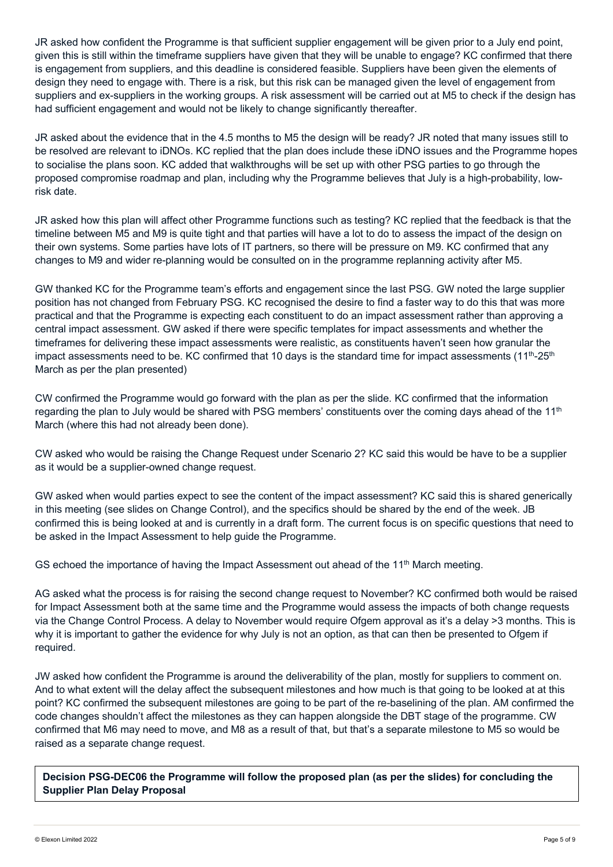JR asked how confident the Programme is that sufficient supplier engagement will be given prior to a July end point, given this is still within the timeframe suppliers have given that they will be unable to engage? KC confirmed that there is engagement from suppliers, and this deadline is considered feasible. Suppliers have been given the elements of design they need to engage with. There is a risk, but this risk can be managed given the level of engagement from suppliers and ex-suppliers in the working groups. A risk assessment will be carried out at M5 to check if the design has had sufficient engagement and would not be likely to change significantly thereafter.

JR asked about the evidence that in the 4.5 months to M5 the design will be ready? JR noted that many issues still to be resolved are relevant to iDNOs. KC replied that the plan does include these iDNO issues and the Programme hopes to socialise the plans soon. KC added that walkthroughs will be set up with other PSG parties to go through the proposed compromise roadmap and plan, including why the Programme believes that July is a high-probability, lowrisk date.

JR asked how this plan will affect other Programme functions such as testing? KC replied that the feedback is that the timeline between M5 and M9 is quite tight and that parties will have a lot to do to assess the impact of the design on their own systems. Some parties have lots of IT partners, so there will be pressure on M9. KC confirmed that any changes to M9 and wider re-planning would be consulted on in the programme replanning activity after M5.

GW thanked KC for the Programme team's efforts and engagement since the last PSG. GW noted the large supplier position has not changed from February PSG. KC recognised the desire to find a faster way to do this that was more practical and that the Programme is expecting each constituent to do an impact assessment rather than approving a central impact assessment. GW asked if there were specific templates for impact assessments and whether the timeframes for delivering these impact assessments were realistic, as constituents haven't seen how granular the impact assessments need to be. KC confirmed that 10 days is the standard time for impact assessments (11<sup>th</sup>-25<sup>th</sup>) March as per the plan presented)

CW confirmed the Programme would go forward with the plan as per the slide. KC confirmed that the information regarding the plan to July would be shared with PSG members' constituents over the coming days ahead of the  $11<sup>th</sup>$ March (where this had not already been done).

CW asked who would be raising the Change Request under Scenario 2? KC said this would be have to be a supplier as it would be a supplier-owned change request.

GW asked when would parties expect to see the content of the impact assessment? KC said this is shared generically in this meeting (see slides on Change Control), and the specifics should be shared by the end of the week. JB confirmed this is being looked at and is currently in a draft form. The current focus is on specific questions that need to be asked in the Impact Assessment to help guide the Programme.

GS echoed the importance of having the Impact Assessment out ahead of the  $11<sup>th</sup>$  March meeting.

AG asked what the process is for raising the second change request to November? KC confirmed both would be raised for Impact Assessment both at the same time and the Programme would assess the impacts of both change requests via the Change Control Process. A delay to November would require Ofgem approval as it's a delay >3 months. This is why it is important to gather the evidence for why July is not an option, as that can then be presented to Ofgem if required.

JW asked how confident the Programme is around the deliverability of the plan, mostly for suppliers to comment on. And to what extent will the delay affect the subsequent milestones and how much is that going to be looked at at this point? KC confirmed the subsequent milestones are going to be part of the re-baselining of the plan. AM confirmed the code changes shouldn't affect the milestones as they can happen alongside the DBT stage of the programme. CW confirmed that M6 may need to move, and M8 as a result of that, but that's a separate milestone to M5 so would be raised as a separate change request.

**Decision PSG-DEC06 the Programme will follow the proposed plan (as per the slides) for concluding the Supplier Plan Delay Proposal**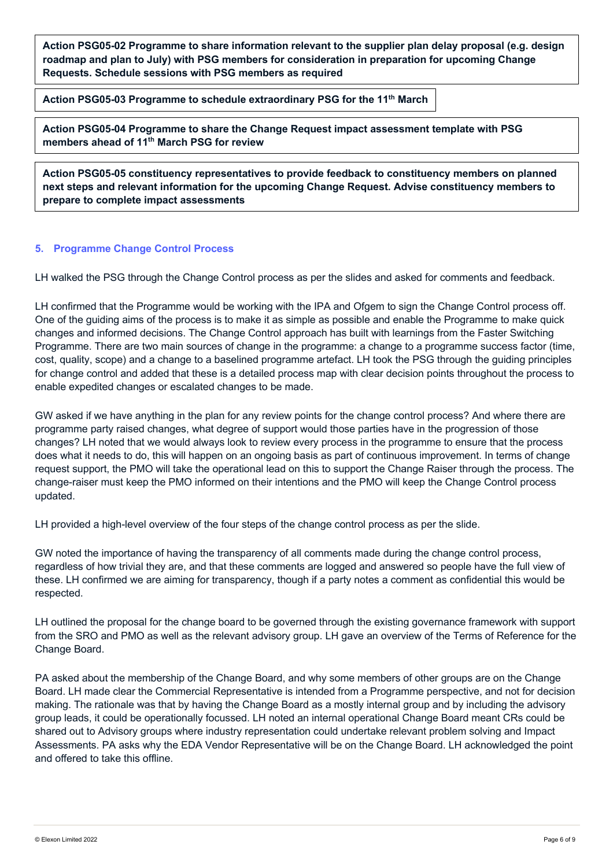**Action PSG05-02 Programme to share information relevant to the supplier plan delay proposal (e.g. design roadmap and plan to July) with PSG members for consideration in preparation for upcoming Change Requests. Schedule sessions with PSG members as required**

**Action PSG05-03 Programme to schedule extraordinary PSG for the 11th March** 

**Action PSG05-04 Programme to share the Change Request impact assessment template with PSG members ahead of 11th March PSG for review**

**Action PSG05-05 constituency representatives to provide feedback to constituency members on planned next steps and relevant information for the upcoming Change Request. Advise constituency members to prepare to complete impact assessments**

#### **5. Programme Change Control Process**

LH walked the PSG through the Change Control process as per the slides and asked for comments and feedback.

LH confirmed that the Programme would be working with the IPA and Ofgem to sign the Change Control process off. One of the guiding aims of the process is to make it as simple as possible and enable the Programme to make quick changes and informed decisions. The Change Control approach has built with learnings from the Faster Switching Programme. There are two main sources of change in the programme: a change to a programme success factor (time, cost, quality, scope) and a change to a baselined programme artefact. LH took the PSG through the guiding principles for change control and added that these is a detailed process map with clear decision points throughout the process to enable expedited changes or escalated changes to be made.

GW asked if we have anything in the plan for any review points for the change control process? And where there are programme party raised changes, what degree of support would those parties have in the progression of those changes? LH noted that we would always look to review every process in the programme to ensure that the process does what it needs to do, this will happen on an ongoing basis as part of continuous improvement. In terms of change request support, the PMO will take the operational lead on this to support the Change Raiser through the process. The change-raiser must keep the PMO informed on their intentions and the PMO will keep the Change Control process updated.

LH provided a high-level overview of the four steps of the change control process as per the slide.

GW noted the importance of having the transparency of all comments made during the change control process, regardless of how trivial they are, and that these comments are logged and answered so people have the full view of these. LH confirmed we are aiming for transparency, though if a party notes a comment as confidential this would be respected.

LH outlined the proposal for the change board to be governed through the existing governance framework with support from the SRO and PMO as well as the relevant advisory group. LH gave an overview of the Terms of Reference for the Change Board.

PA asked about the membership of the Change Board, and why some members of other groups are on the Change Board. LH made clear the Commercial Representative is intended from a Programme perspective, and not for decision making. The rationale was that by having the Change Board as a mostly internal group and by including the advisory group leads, it could be operationally focussed. LH noted an internal operational Change Board meant CRs could be shared out to Advisory groups where industry representation could undertake relevant problem solving and Impact Assessments. PA asks why the EDA Vendor Representative will be on the Change Board. LH acknowledged the point and offered to take this offline.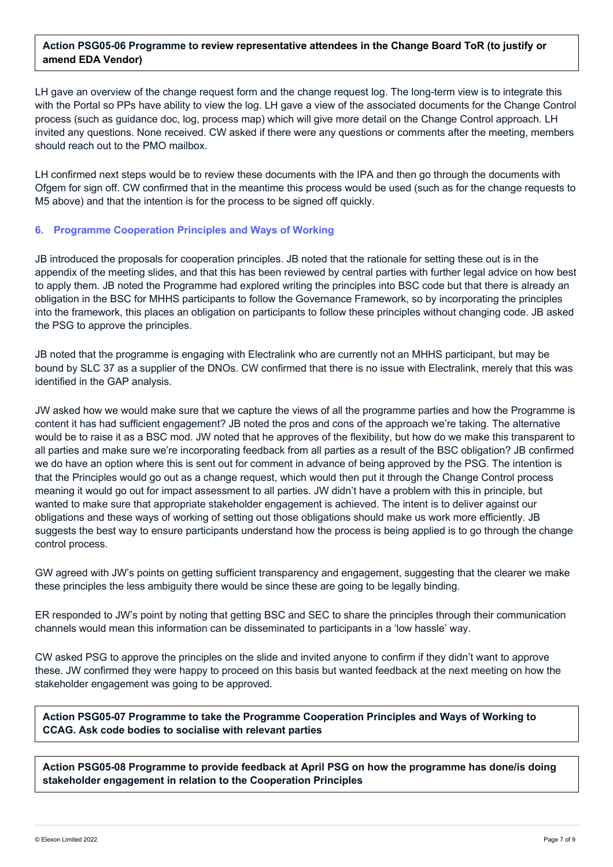## **Action PSG05-06 Programme to review representative attendees in the Change Board ToR (to justify or amend EDA Vendor)**

LH gave an overview of the change request form and the change request log. The long-term view is to integrate this with the Portal so PPs have ability to view the log. LH gave a view of the associated documents for the Change Control process (such as guidance doc, log, process map) which will give more detail on the Change Control approach. LH invited any questions. None received. CW asked if there were any questions or comments after the meeting, members should reach out to the PMO mailbox.

LH confirmed next steps would be to review these documents with the IPA and then go through the documents with Ofgem for sign off. CW confirmed that in the meantime this process would be used (such as for the change requests to M5 above) and that the intention is for the process to be signed off quickly.

## **6. Programme Cooperation Principles and Ways of Working**

JB introduced the proposals for cooperation principles. JB noted that the rationale for setting these out is in the appendix of the meeting slides, and that this has been reviewed by central parties with further legal advice on how best to apply them. JB noted the Programme had explored writing the principles into BSC code but that there is already an obligation in the BSC for MHHS participants to follow the Governance Framework, so by incorporating the principles into the framework, this places an obligation on participants to follow these principles without changing code. JB asked the PSG to approve the principles.

JB noted that the programme is engaging with Electralink who are currently not an MHHS participant, but may be bound by SLC 37 as a supplier of the DNOs. CW confirmed that there is no issue with Electralink, merely that this was identified in the GAP analysis.

JW asked how we would make sure that we capture the views of all the programme parties and how the Programme is content it has had sufficient engagement? JB noted the pros and cons of the approach we're taking. The alternative would be to raise it as a BSC mod. JW noted that he approves of the flexibility, but how do we make this transparent to all parties and make sure we're incorporating feedback from all parties as a result of the BSC obligation? JB confirmed we do have an option where this is sent out for comment in advance of being approved by the PSG. The intention is that the Principles would go out as a change request, which would then put it through the Change Control process meaning it would go out for impact assessment to all parties. JW didn't have a problem with this in principle, but wanted to make sure that appropriate stakeholder engagement is achieved. The intent is to deliver against our obligations and these ways of working of setting out those obligations should make us work more efficiently. JB suggests the best way to ensure participants understand how the process is being applied is to go through the change control process.

GW agreed with JW's points on getting sufficient transparency and engagement, suggesting that the clearer we make these principles the less ambiguity there would be since these are going to be legally binding.

ER responded to JW's point by noting that getting BSC and SEC to share the principles through their communication channels would mean this information can be disseminated to participants in a 'low hassle' way.

CW asked PSG to approve the principles on the slide and invited anyone to confirm if they didn't want to approve these. JW confirmed they were happy to proceed on this basis but wanted feedback at the next meeting on how the stakeholder engagement was going to be approved.

**Action PSG05-07 Programme to take the Programme Cooperation Principles and Ways of Working to CCAG. Ask code bodies to socialise with relevant parties**

**Action PSG05-08 Programme to provide feedback at April PSG on how the programme has done/is doing stakeholder engagement in relation to the Cooperation Principles**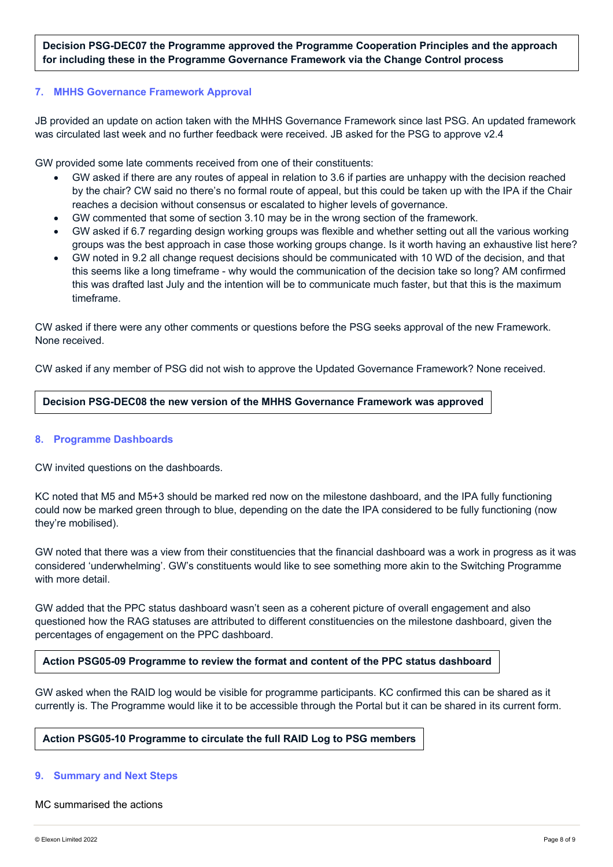**Decision PSG-DEC07 the Programme approved the Programme Cooperation Principles and the approach for including these in the Programme Governance Framework via the Change Control process**

#### **7. MHHS Governance Framework Approval**

JB provided an update on action taken with the MHHS Governance Framework since last PSG. An updated framework was circulated last week and no further feedback were received. JB asked for the PSG to approve v2.4

GW provided some late comments received from one of their constituents:

- GW asked if there are any routes of appeal in relation to 3.6 if parties are unhappy with the decision reached by the chair? CW said no there's no formal route of appeal, but this could be taken up with the IPA if the Chair reaches a decision without consensus or escalated to higher levels of governance.
- GW commented that some of section 3.10 may be in the wrong section of the framework.
- GW asked if 6.7 regarding design working groups was flexible and whether setting out all the various working groups was the best approach in case those working groups change. Is it worth having an exhaustive list here?
- GW noted in 9.2 all change request decisions should be communicated with 10 WD of the decision, and that this seems like a long timeframe - why would the communication of the decision take so long? AM confirmed this was drafted last July and the intention will be to communicate much faster, but that this is the maximum timeframe.

CW asked if there were any other comments or questions before the PSG seeks approval of the new Framework. None received.

CW asked if any member of PSG did not wish to approve the Updated Governance Framework? None received.

#### **Decision PSG-DEC08 the new version of the MHHS Governance Framework was approved**

#### **8. Programme Dashboards**

CW invited questions on the dashboards.

KC noted that M5 and M5+3 should be marked red now on the milestone dashboard, and the IPA fully functioning could now be marked green through to blue, depending on the date the IPA considered to be fully functioning (now they're mobilised).

GW noted that there was a view from their constituencies that the financial dashboard was a work in progress as it was considered 'underwhelming'. GW's constituents would like to see something more akin to the Switching Programme with more detail.

GW added that the PPC status dashboard wasn't seen as a coherent picture of overall engagement and also questioned how the RAG statuses are attributed to different constituencies on the milestone dashboard, given the percentages of engagement on the PPC dashboard.

**Action PSG05-09 Programme to review the format and content of the PPC status dashboard**

GW asked when the RAID log would be visible for programme participants. KC confirmed this can be shared as it currently is. The Programme would like it to be accessible through the Portal but it can be shared in its current form.

#### **Action PSG05-10 Programme to circulate the full RAID Log to PSG members**

#### **9. Summary and Next Steps**

#### MC summarised the actions